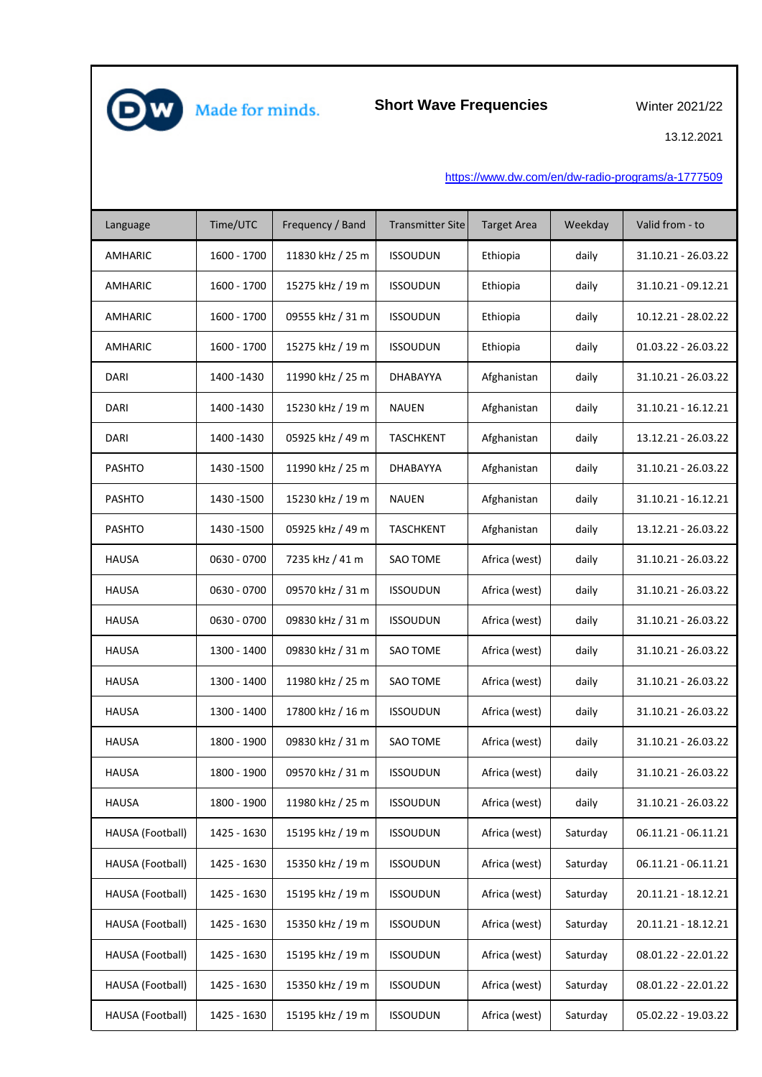

**Short Wave Frequencies**

Winter 2021/22

13.12.2021

[https://ww](https://www.dw.com/en/dw-radio-programs/a-1777509)w.dw.com/en/dw-radio-programs/a-1777509

| Language         | Time/UTC    | Frequency / Band | <b>Transmitter Site</b> | <b>Target Area</b> | Weekday  | Valid from - to     |
|------------------|-------------|------------------|-------------------------|--------------------|----------|---------------------|
| <b>AMHARIC</b>   | 1600 - 1700 | 11830 kHz / 25 m | <b>ISSOUDUN</b>         | Ethiopia           | daily    | 31.10.21 - 26.03.22 |
| <b>AMHARIC</b>   | 1600 - 1700 | 15275 kHz / 19 m | <b>ISSOUDUN</b>         | Ethiopia           | daily    | 31.10.21 - 09.12.21 |
| AMHARIC          | 1600 - 1700 | 09555 kHz / 31 m | <b>ISSOUDUN</b>         | Ethiopia           | daily    | 10.12.21 - 28.02.22 |
| AMHARIC          | 1600 - 1700 | 15275 kHz / 19 m | <b>ISSOUDUN</b>         | Ethiopia           | daily    | 01.03.22 - 26.03.22 |
| DARI             | 1400 - 1430 | 11990 kHz / 25 m | DHABAYYA                | Afghanistan        | daily    | 31.10.21 - 26.03.22 |
| <b>DARI</b>      | 1400 - 1430 | 15230 kHz / 19 m | <b>NAUEN</b>            | Afghanistan        | daily    | 31.10.21 - 16.12.21 |
| DARI             | 1400 - 1430 | 05925 kHz / 49 m | <b>TASCHKENT</b>        | Afghanistan        | daily    | 13.12.21 - 26.03.22 |
| <b>PASHTO</b>    | 1430 - 1500 | 11990 kHz / 25 m | DHABAYYA                | Afghanistan        | daily    | 31.10.21 - 26.03.22 |
| <b>PASHTO</b>    | 1430 - 1500 | 15230 kHz / 19 m | <b>NAUEN</b>            | Afghanistan        | daily    | 31.10.21 - 16.12.21 |
| <b>PASHTO</b>    | 1430 - 1500 | 05925 kHz / 49 m | <b>TASCHKENT</b>        | Afghanistan        | daily    | 13.12.21 - 26.03.22 |
| <b>HAUSA</b>     | 0630 - 0700 | 7235 kHz / 41 m  | SAO TOME                | Africa (west)      | daily    | 31.10.21 - 26.03.22 |
| <b>HAUSA</b>     | 0630 - 0700 | 09570 kHz / 31 m | <b>ISSOUDUN</b>         | Africa (west)      | daily    | 31.10.21 - 26.03.22 |
| <b>HAUSA</b>     | 0630 - 0700 | 09830 kHz / 31 m | <b>ISSOUDUN</b>         | Africa (west)      | daily    | 31.10.21 - 26.03.22 |
| <b>HAUSA</b>     | 1300 - 1400 | 09830 kHz / 31 m | <b>SAO TOME</b>         | Africa (west)      | daily    | 31.10.21 - 26.03.22 |
| <b>HAUSA</b>     | 1300 - 1400 | 11980 kHz / 25 m | <b>SAO TOME</b>         | Africa (west)      | daily    | 31.10.21 - 26.03.22 |
| <b>HAUSA</b>     | 1300 - 1400 | 17800 kHz / 16 m | <b>ISSOUDUN</b>         | Africa (west)      | daily    | 31.10.21 - 26.03.22 |
| <b>HAUSA</b>     | 1800 - 1900 | 09830 kHz / 31 m | SAO TOME                | Africa (west)      | daily    | 31.10.21 - 26.03.22 |
| <b>HAUSA</b>     | 1800 - 1900 | 09570 kHz / 31 m | <b>ISSOUDUN</b>         | Africa (west)      | daily    | 31.10.21 - 26.03.22 |
| <b>HAUSA</b>     | 1800 - 1900 | 11980 kHz / 25 m | <b>ISSOUDUN</b>         | Africa (west)      | daily    | 31.10.21 - 26.03.22 |
| HAUSA (Football) | 1425 - 1630 | 15195 kHz / 19 m | <b>ISSOUDUN</b>         | Africa (west)      | Saturday | 06.11.21 - 06.11.21 |
| HAUSA (Football) | 1425 - 1630 | 15350 kHz / 19 m | <b>ISSOUDUN</b>         | Africa (west)      | Saturday | 06.11.21 - 06.11.21 |
| HAUSA (Football) | 1425 - 1630 | 15195 kHz / 19 m | <b>ISSOUDUN</b>         | Africa (west)      | Saturday | 20.11.21 - 18.12.21 |
| HAUSA (Football) | 1425 - 1630 | 15350 kHz / 19 m | <b>ISSOUDUN</b>         | Africa (west)      | Saturday | 20.11.21 - 18.12.21 |
| HAUSA (Football) | 1425 - 1630 | 15195 kHz / 19 m | <b>ISSOUDUN</b>         | Africa (west)      | Saturday | 08.01.22 - 22.01.22 |
| HAUSA (Football) | 1425 - 1630 | 15350 kHz / 19 m | <b>ISSOUDUN</b>         | Africa (west)      | Saturday | 08.01.22 - 22.01.22 |
| HAUSA (Football) | 1425 - 1630 | 15195 kHz / 19 m | <b>ISSOUDUN</b>         | Africa (west)      | Saturday | 05.02.22 - 19.03.22 |